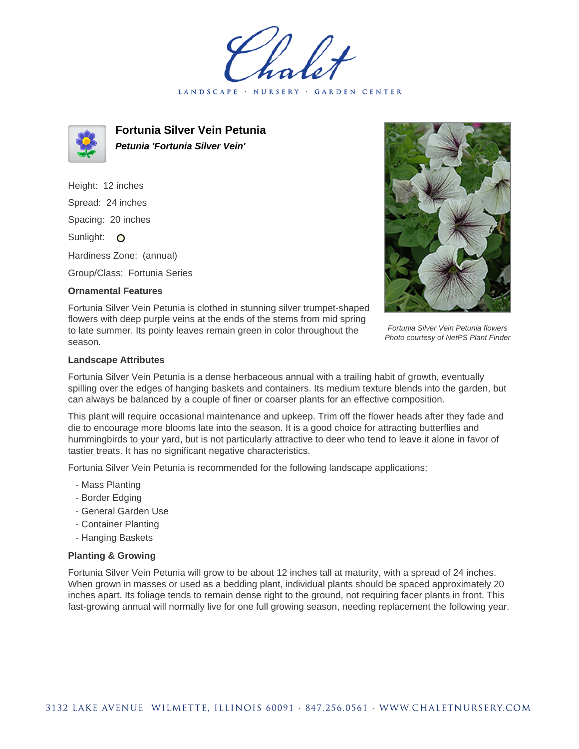LANDSCAPE · NURSERY · GARDEN CENTER



**Fortunia Silver Vein Petunia Petunia 'Fortunia Silver Vein'**

Height: 12 inches Spread: 24 inches Spacing: 20 inches Sunlight: O Hardiness Zone: (annual)

Group/Class: Fortunia Series

## **Ornamental Features**

Fortunia Silver Vein Petunia flowers Photo courtesy of NetPS Plant Finder

Fortunia Silver Vein Petunia is clothed in stunning silver trumpet-shaped flowers with deep purple veins at the ends of the stems from mid spring to late summer. Its pointy leaves remain green in color throughout the season.

## **Landscape Attributes**

Fortunia Silver Vein Petunia is a dense herbaceous annual with a trailing habit of growth, eventually spilling over the edges of hanging baskets and containers. Its medium texture blends into the garden, but can always be balanced by a couple of finer or coarser plants for an effective composition.

This plant will require occasional maintenance and upkeep. Trim off the flower heads after they fade and die to encourage more blooms late into the season. It is a good choice for attracting butterflies and hummingbirds to your yard, but is not particularly attractive to deer who tend to leave it alone in favor of tastier treats. It has no significant negative characteristics.

Fortunia Silver Vein Petunia is recommended for the following landscape applications;

- Mass Planting
- Border Edging
- General Garden Use
- Container Planting
- Hanging Baskets

## **Planting & Growing**

Fortunia Silver Vein Petunia will grow to be about 12 inches tall at maturity, with a spread of 24 inches. When grown in masses or used as a bedding plant, individual plants should be spaced approximately 20 inches apart. Its foliage tends to remain dense right to the ground, not requiring facer plants in front. This fast-growing annual will normally live for one full growing season, needing replacement the following year.